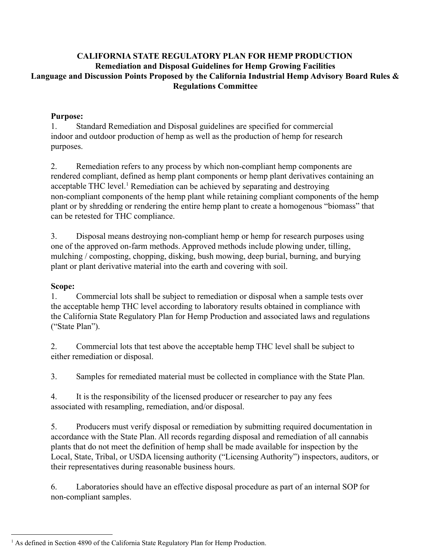# **CALIFORNIA STATE REGULATORY PLAN FOR HEMP PRODUCTION Remediation and Disposal Guidelines for Hemp Growing Facilities Language and Discussion Points Proposed by the California Industrial Hemp Advisory Board Rules & Regulations Committee**

# **Purpose:**

1. Standard Remediation and Disposal guidelines are specified for commercial indoor and outdoor production of hemp as well as the production of hemp for research purposes.

2. Remediation refers to any process by which non-compliant hemp components are rendered compliant, defined as hemp plant components or hemp plant derivatives containing an acceptable THC level.<sup>1</sup> Remediation can be achieved by separating and destroying non-compliant components of the hemp plant while retaining compliant components of the hemp plant or by shredding or rendering the entire hemp plant to create a homogenous "biomass" that can be retested for THC compliance.

3. Disposal means destroying non-compliant hemp or hemp for research purposes using one of the approved on-farm methods. Approved methods include plowing under, tilling, mulching / composting, chopping, disking, bush mowing, deep burial, burning, and burying plant or plant derivative material into the earth and covering with soil.

# **Scope:**

1. Commercial lots shall be subject to remediation or disposal when a sample tests over the acceptable hemp THC level according to laboratory results obtained in compliance with the California State Regulatory Plan for Hemp Production and associated laws and regulations ("State Plan").

2. Commercial lots that test above the acceptable hemp THC level shall be subject to either remediation or disposal.

3. Samples for remediated material must be collected in compliance with the State Plan.

4. It is the responsibility of the licensed producer or researcher to pay any fees associated with resampling, remediation, and/or disposal.

5. Producers must verify disposal or remediation by submitting required documentation in accordance with the State Plan. All records regarding disposal and remediation of all cannabis plants that do not meet the definition of hemp shall be made available for inspection by the Local, State, Tribal, or USDA licensing authority ("Licensing Authority") inspectors, auditors, or their representatives during reasonable business hours.

6. Laboratories should have an effective disposal procedure as part of an internal SOP for non-compliant samples.

<sup>&</sup>lt;sup>1</sup> As defined in Section 4890 of the California State Regulatory Plan for Hemp Production.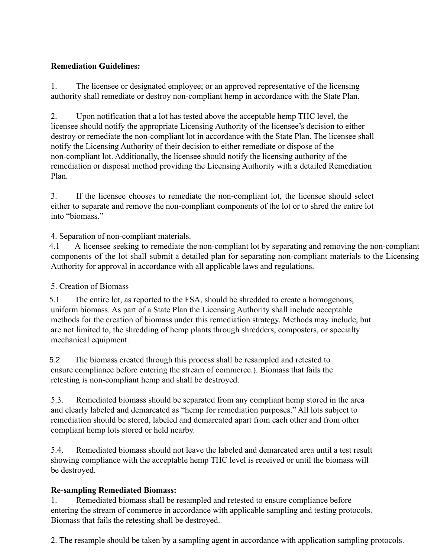# **Remediation Guidelines:**

1. The licensee or designated employee; or an approved representative of the licensing authority shall remediate or destroy non-compliant hemp in accordance with the State Plan.

2. Upon notification that a lot has tested above the acceptable hemp THC level, the licensee should notify the appropriate Licensing Authority of the licensee's decision to either destroy or remediate the non-compliant lot in accordance with the State Plan. The licensee shall notify the Licensing Authority of their decision to either remediate or dispose of the non-compliant lot. Additionally, the licensee should notify the licensing authority of the remediation or disposal method providing the Licensing Authority with a detailed Remediation Plan.

3. If the licensee chooses to remediate the non-compliant lot, the licensee should select either to separate and remove the non-compliant components of the lot or to shred the entire lot into "biomass."

4. Separation of non-compliant materials.

4.1 A licensee seeking to remediate the non-compliant lot by separating and removing the non-compliant components of the lot shall submit a detailed plan for separating non-compliant materials to the Licensing Authority for approval in accordance with all applicable laws and regulations.

#### 5. Creation of Biomass

5.1 The entire lot, as reported to the FSA, should be shredded to create a homogenous, uniform biomass. As part of a State Plan the Licensing Authority shall include acceptable methods for the creation of biomass under this remediation strategy. Methods may include, but are not limited to, the shredding of hemp plants through shredders, composters, or specialty mechanical equipment.

5.2 The biomass created through this process shall be resampled and retested to ensure compliance before entering the stream of commerce.). Biomass that fails the retesting is non-compliant hemp and shall be destroyed.

5.3. Remediated biomass should be separated from any compliant hemp stored in the area and clearly labeled and demarcated as "hemp for remediation purposes." All lots subject to remediation should be stored, labeled and demarcated apart from each other and from other compliant hemp lots stored or held nearby.

5.4. Remediated biomass should not leave the labeled and demarcated area until a test result showing compliance with the acceptable hemp THC level is received or until the biomass will be destroyed.

#### **Re-sampling Remediated Biomass:**

1. Remediated biomass shall be resampled and retested to ensure compliance before entering the stream of commerce in accordance with applicable sampling and testing protocols. Biomass that fails the retesting shall be destroyed.

2. The resample should be taken by a sampling agent in accordance with application sampling protocols.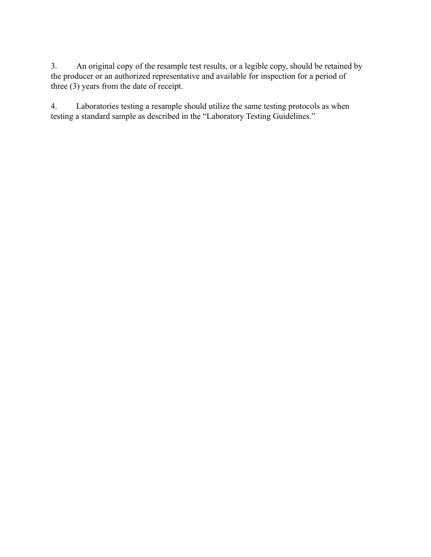3. An original copy of the resample test results, or a legible copy, should be retained by the producer or an authorized representative and available for inspection for a period of three (3) years from the date of receipt.

4. Laboratories testing a resample should utilize the same testing protocols as when testing a standard sample as described in the "Laboratory Testing Guidelines."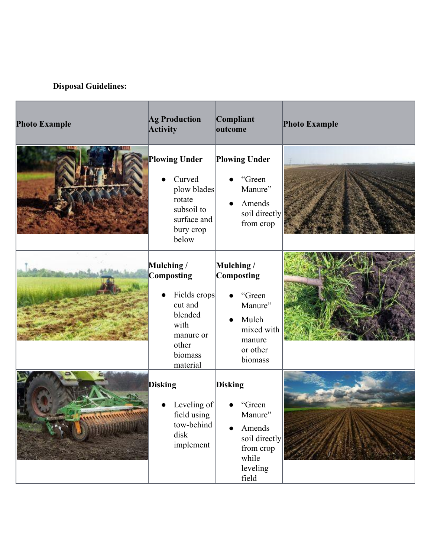# **Disposal Guidelines:**

| <b>Photo Example</b> | <b>Ag Production</b><br><b>Activity</b>                                                                             | Compliant<br>outcome                                                                                               | <b>Photo Example</b> |
|----------------------|---------------------------------------------------------------------------------------------------------------------|--------------------------------------------------------------------------------------------------------------------|----------------------|
|                      | <b>Plowing Under</b><br>Curved<br>plow blades<br>rotate<br>subsoil to<br>surface and<br>bury crop<br>below          | <b>Plowing Under</b><br>"Green<br>Manure"<br>Amends<br>soil directly<br>from crop                                  |                      |
|                      | Mulching /<br>Composting<br>Fields crops<br>cut and<br>blended<br>with<br>manure or<br>other<br>biomass<br>material | Mulching /<br>Composting<br>"Green<br>Manure"<br>Mulch<br>$\bullet$<br>mixed with<br>manure<br>or other<br>biomass |                      |
|                      | <b>Disking</b><br>Leveling of<br>field using<br>tow-behind<br>disk<br>implement                                     | <b>Disking</b><br>"Green<br>Manure"<br>Amends<br>soil directly<br>from crop<br>while<br>leveling<br>field          |                      |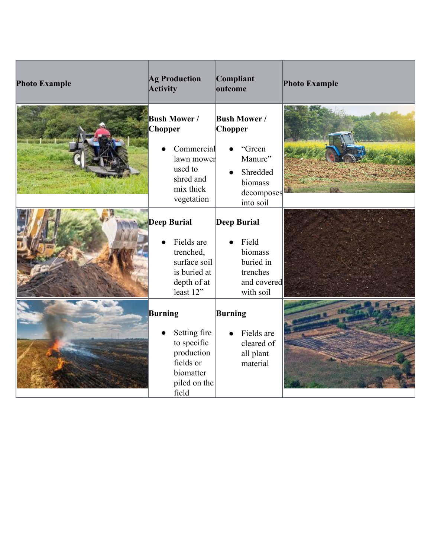| <b>Photo Example</b> | <b>Ag Production</b><br><b>Activity</b>                                                                             | Compliant<br>outcome                                                                                                     | <b>Photo Example</b> |
|----------------------|---------------------------------------------------------------------------------------------------------------------|--------------------------------------------------------------------------------------------------------------------------|----------------------|
|                      | <b>Bush Mower/</b><br><b>Chopper</b><br>Commercial<br>lawn mower<br>used to<br>shred and<br>mix thick<br>vegetation | <b>Bush Mower/</b><br><b>Chopper</b><br>"Green<br>Manure"<br>Shredded<br>$\bullet$<br>biomass<br>decomposes<br>into soil |                      |
|                      | <b>Deep Burial</b><br>Fields are<br>trenched,<br>surface soil<br>is buried at<br>depth of at<br>least 12"           | <b>Deep Burial</b><br>Field<br>biomass<br>buried in<br>trenches<br>and covered<br>with soil                              |                      |
|                      | Burning<br>Setting fire<br>to specific<br>production<br>fields or<br>biomatter<br>piled on the<br>field             | <b>Burning</b><br>Fields are<br>$\bullet$<br>cleared of<br>all plant<br>material                                         |                      |